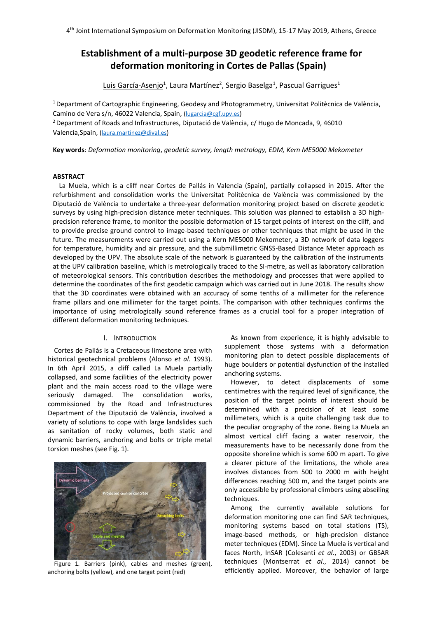# **Establishment of a multi-purpose 3D geodetic reference frame for deformation monitoring in Cortes de Pallas (Spain)**

<u>Luis García-Asenjo<sup>1</sup>,</u> Laura Martínez<sup>2</sup>, Sergio Baselga<sup>1</sup>, Pascual Garrigues<sup>1</sup>

<sup>1</sup>Department of Cartographic Engineering, Geodesy and Photogrammetry, Universitat Politècnica de València, Camino de Vera s/n, 46022 Valencia, Spain, [\(lugarcia@cgf.upv.es\)](mailto:lugarcia@cgf.upv.es)

<sup>2</sup>Department of Roads and Infrastructures, Diputació de València, c/ Hugo de Moncada, 9, 46010 Valencia,Spain, [\(laura.martinez@dival.es\)](mailto:laura.martinez@dival.es)

**Key words**: *Deformation monitoring*, *geodetic survey, length metrology, EDM, Kern ME5000 Mekometer*

#### **ABSTRACT**

La Muela, which is a cliff near Cortes de Pallás in Valencia (Spain), partially collapsed in 2015. After the refurbishment and consolidation works the Universitat Politècnica de València was commissioned by the Diputació de València to undertake a three-year deformation monitoring project based on discrete geodetic surveys by using high-precision distance meter techniques. This solution was planned to establish a 3D highprecision reference frame, to monitor the possible deformation of 15 target points of interest on the cliff, and to provide precise ground control to image-based techniques or other techniques that might be used in the future. The measurements were carried out using a Kern ME5000 Mekometer, a 3D network of data loggers for temperature, humidity and air pressure, and the submillimetric GNSS-Based Distance Meter approach as developed by the UPV. The absolute scale of the network is guaranteed by the calibration of the instruments at the UPV calibration baseline, which is metrologically traced to the SI-metre, as well as laboratory calibration of meteorological sensors. This contribution describes the methodology and processes that were applied to determine the coordinates of the first geodetic campaign which was carried out in June 2018. The results show that the 3D coordinates were obtained with an accuracy of some tenths of a millimeter for the reference frame pillars and one millimeter for the target points. The comparison with other techniques confirms the importance of using metrologically sound reference frames as a crucial tool for a proper integration of different deformation monitoring techniques.

# I. INTRODUCTION

Cortes de Pallás is a Cretaceous limestone area with historical geotechnical problems (Alonso *et al*. 1993). In 6th April 2015, a cliff called La Muela partially collapsed, and some facilities of the electricity power plant and the main access road to the village were seriously damaged. The consolidation works, commissioned by the Road and Infrastructures Department of the Diputació de València, involved a variety of solutions to cope with large landslides such as sanitation of rocky volumes, both static and dynamic barriers, anchoring and bolts or triple metal torsion meshes (see Fig. 1).



Figure 1*.* Barriers (pink), cables and meshes (green), anchoring bolts (yellow), and one target point (red)

As known from experience, it is highly advisable to supplement those systems with a deformation monitoring plan to detect possible displacements of huge boulders or potential dysfunction of the installed anchoring systems.

However, to detect displacements of some centimetres with the required level of significance, the position of the target points of interest should be determined with a precision of at least some millimeters, which is a quite challenging task due to the peculiar orography of the zone. Being La Muela an almost vertical cliff facing a water reservoir, the measurements have to be necessarily done from the opposite shoreline which is some 600 m apart. To give a clearer picture of the limitations, the whole area involves distances from 500 to 2000 m with height differences reaching 500 m, and the target points are only accessible by professional climbers using abseiling techniques.

Among the currently available solutions for deformation monitoring one can find SAR techniques, monitoring systems based on total stations (TS), image-based methods, or high-precision distance meter techniques (EDM). Since La Muela is vertical and faces North, InSAR (Colesanti *et al*., 2003) or GBSAR techniques (Montserrat *et al*., 2014) cannot be efficiently applied. Moreover, the behavior of large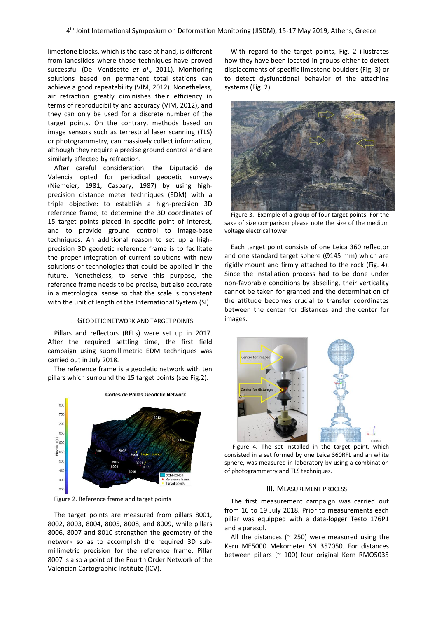limestone blocks, which is the case at hand, is different from landslides where those techniques have proved successful (Del Ventisette *et al*., 2011). Monitoring solutions based on permanent total stations can achieve a good repeatability (VIM, 2012). Nonetheless, air refraction greatly diminishes their efficiency in terms of reproducibility and accuracy (VIM, 2012), and they can only be used for a discrete number of the target points. On the contrary, methods based on image sensors such as terrestrial laser scanning (TLS) or photogrammetry, can massively collect information, although they require a precise ground control and are similarly affected by refraction.

After careful consideration, the Diputació de Valencia opted for periodical geodetic surveys (Niemeier, 1981; Caspary, 1987) by using highprecision distance meter techniques (EDM) with a triple objective: to establish a high-precision 3D reference frame, to determine the 3D coordinates of 15 target points placed in specific point of interest, and to provide ground control to image-base techniques. An additional reason to set up a highprecision 3D geodetic reference frame is to facilitate the proper integration of current solutions with new solutions or technologies that could be applied in the future. Nonetheless, to serve this purpose, the reference frame needs to be precise, but also accurate in a metrological sense so that the scale is consistent with the unit of length of the International System (SI).

#### II. GEODETIC NETWORK AND TARGET POINTS

Pillars and reflectors (RFLs) were set up in 2017. After the required settling time, the first field campaign using submillimetric EDM techniques was carried out in July 2018.

The reference frame is a geodetic network with ten pillars which surround the 15 target points (see Fig.2).



Figure 2. Reference frame and target points

The target points are measured from pillars 8001, 8002, 8003, 8004, 8005, 8008, and 8009, while pillars 8006, 8007 and 8010 strengthen the geometry of the network so as to accomplish the required 3D submillimetric precision for the reference frame. Pillar 8007 is also a point of the Fourth Order Network of the Valencian Cartographic Institute (ICV).

With regard to the target points, Fig. 2 illustrates how they have been located in groups either to detect displacements of specific limestone boulders (Fig. 3) or to detect dysfunctional behavior of the attaching systems (Fig. 2).



Figure 3. Example of a group of four target points. For the sake of size comparison please note the size of the medium voltage electrical tower

Each target point consists of one Leica 360 reflector and one standard target sphere ( $\emptyset$ 145 mm) which are rigidly mount and firmly attached to the rock (Fig. 4). Since the installation process had to be done under non-favorable conditions by abseiling, their verticality cannot be taken for granted and the determination of the attitude becomes crucial to transfer coordinates between the center for distances and the center for images.



Figure 4*.* The set installed in the target point, which consisted in a set formed by one Leica 360RFL and an white sphere, was measured in laboratory by using a combination of photogrammetry and TLS techniques.

#### III. MEASUREMENT PROCESS

The first measurement campaign was carried out from 16 to 19 July 2018. Prior to measurements each pillar was equipped with a data-logger Testo 176P1 and a parasol.

All the distances ( $\approx$  250) were measured using the Kern ME5000 Mekometer SN 357050. For distances between pillars (~ 100) four original Kern RMO5035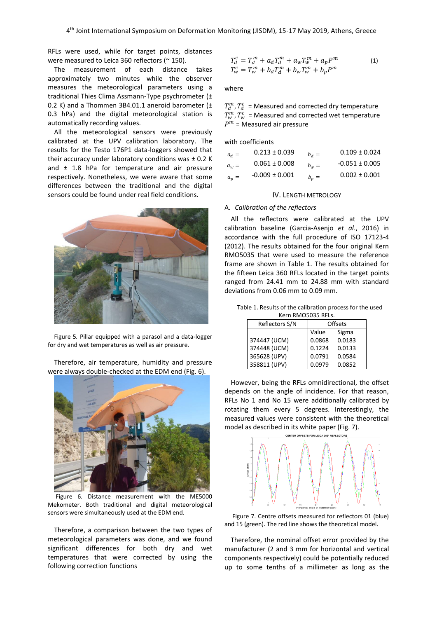RFLs were used, while for target points, distances were measured to Leica 360 reflectors (~ 150).

The measurement of each distance takes approximately two minutes while the observer measures the meteorological parameters using a traditional Thies Clima Assmann-Type psychrometer (± 0.2 K) and a Thommen 3B4.01.1 aneroid barometer  $(\pm$ 0.3 hPa) and the digital meteorological station is automatically recording values.

All the meteorological sensors were previously calibrated at the UPV calibration laboratory. The results for the Testo 176P1 data-loggers showed that their accuracy under laboratory conditions was ± 0.2 K and  $\pm$  1.8 hPa for temperature and air pressure respectively. Nonetheless, we were aware that some differences between the traditional and the digital sensors could be found under real field conditions.



Figure 5*.* Pillar equipped with a parasol and a data-logger for dry and wet temperatures as well as air pressure.

Therefore, air temperature, humidity and pressure were always double-checked at the EDM end (Fig. 6).



Figure 6*.* Distance measurement with the ME5000 Mekometer. Both traditional and digital meteorological sensors were simultaneously used at the EDM end.

Therefore, a comparison between the two types of meteorological parameters was done, and we found significant differences for both dry and wet temperatures that were corrected by using the following correction functions

$$
T_d^c = T_d^m + a_d T_d^m + a_w T_w^m + a_p P^m
$$
  
\n
$$
T_w^c = T_w^m + b_d T_d^m + b_w T_w^m + b_p P^m
$$
\n(1)

#### where

 $T_{d}^{m}$ ,  $T_{d}^{c}$  = Measured and corrected dry temperature  $T_{w}^{m}$ ,  $T_{w}^{c}$  = Measured and corrected wet temperature  $P<sup>m</sup>$  = Measured air pressure

with coefficients

| $a_d =$ | $0.213 \pm 0.039$  | $b_d =$ | $0.109 \pm 0.024$  |
|---------|--------------------|---------|--------------------|
| $a_w =$ | $0.061 \pm 0.008$  | $b_w =$ | $-0.051 \pm 0.005$ |
| $a_n =$ | $-0.009 \pm 0.001$ | $b_n =$ | $0.002 \pm 0.001$  |

#### IV. LENGTH METROLOGY

#### A. *Calibration of the reflectors*

All the reflectors were calibrated at the UPV calibration baseline (Garcia-Asenjo *et al*., 2016) in accordance with the full procedure of ISO 17123-4 (2012). The results obtained for the four original Kern RMO5035 that were used to measure the reference frame are shown in Table 1. The results obtained for the fifteen Leica 360 RFLs located in the target points ranged from 24.41 mm to 24.88 mm with standard deviations from 0.06 mm to 0.09 mm.

Table 1. Results of the calibration process for the used Kern RMO5035 RFLs.

| Reflectors S/N | <b>Offsets</b> |        |  |
|----------------|----------------|--------|--|
|                | Value          | Sigma  |  |
| 374447 (UCM)   | 0.0868         | 0.0183 |  |
| 374448 (UCM)   | 0.1224         | 0.0133 |  |
| 365628 (UPV)   | 0.0791         | 0.0584 |  |
| 358811 (UPV)   | 0.0979         | 0.0852 |  |

However, being the RFLs omnidirectional, the offset depends on the angle of incidence. For that reason, RFLs No 1 and No 15 were additionally calibrated by rotating them every 5 degrees. Interestingly, the measured values were consistent with the theoretical model as described in its white paper (Fig. 7).



Figure 7. Centre offsets measured for reflectors 01 (blue) and 15 (green). The red line shows the theoretical model.

Therefore, the nominal offset error provided by the manufacturer (2 and 3 mm for horizontal and vertical components respectively) could be potentially reduced up to some tenths of a millimeter as long as the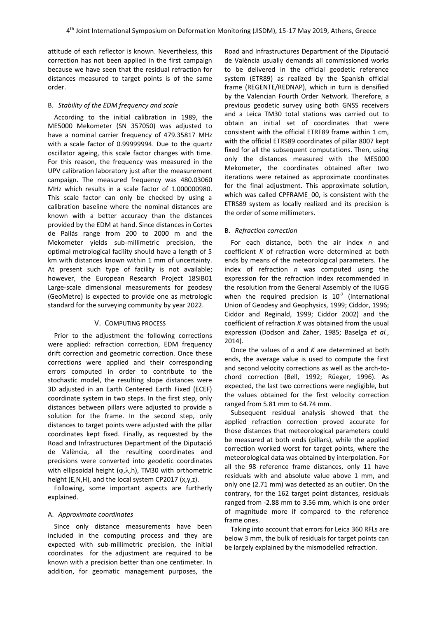attitude of each reflector is known. Nevertheless, this correction has not been applied in the first campaign because we have seen that the residual refraction for distances measured to target points is of the same order.

## B. *Stability of the EDM frequency and scale*

According to the initial calibration in 1989, the ME5000 Mekometer (SN 357050) was adjusted to have a nominal carrier frequency of 479.35817 MHz with a scale factor of 0.99999994. Due to the quartz oscillator ageing, this scale factor changes with time. For this reason, the frequency was measured in the UPV calibration laboratory just after the measurement campaign. The measured frequency was 480.03060 MHz which results in a scale factor of 1.000000980. This scale factor can only be checked by using a calibration baseline where the nominal distances are known with a better accuracy than the distances provided by the EDM at hand. Since distances in Cortes de Pallás range from 200 to 2000 m and the Mekometer yields sub-millimetric precision, the optimal metrological facility should have a length of 5 km with distances known within 1 mm of uncertainty. At present such type of facility is not available; however, the European Research Project 18SIB01 Large-scale dimensional measurements for geodesy (GeoMetre) is expected to provide one as metrologic standard for the surveying community by year 2022.

## V. COMPUTING PROCESS

Prior to the adjustment the following corrections were applied: refraction correction, EDM frequency drift correction and geometric correction. Once these corrections were applied and their corresponding errors computed in order to contribute to the stochastic model, the resulting slope distances were 3D adjusted in an Earth Centered Earth Fixed (ECEF) coordinate system in two steps. In the first step, only distances between pillars were adjusted to provide a solution for the frame. In the second step, only distances to target points were adjusted with the pillar coordinates kept fixed. Finally, as requested by the Road and Infrastructures Department of the Diputació de València, all the resulting coordinates and precisions were converted into geodetic coordinates with ellipsoidal height ( $(\varphi,\lambda,h)$ , TM30 with orthometric height (E,N,H), and the local system CP2017 (x,y,z).

Following, some important aspects are furtherly explained.

#### A. *Approximate coordinates*

Since only distance measurements have been included in the computing process and they are expected with sub-millimetric precision, the initial coordinates for the adjustment are required to be known with a precision better than one centimeter. In addition, for geomatic management purposes, the

Road and Infrastructures Department of the Diputació de València usually demands all commissioned works to be delivered in the official geodetic reference system (ETR89) as realized by the Spanish official frame (REGENTE/REDNAP), which in turn is densified by the Valencian Fourth Order Network. Therefore, a previous geodetic survey using both GNSS receivers and a Leica TM30 total stations was carried out to obtain an initial set of coordinates that were consistent with the official ETRF89 frame within 1 cm, with the official ETRS89 coordinates of pillar 8007 kept fixed for all the subsequent computations. Then, using only the distances measured with the ME5000 Mekometer, the coordinates obtained after two iterations were retained as approximate coordinates for the final adjustment. This approximate solution, which was called CPFRAME 00, is consistent with the ETRS89 system as locally realized and its precision is the order of some millimeters.

#### B. *Refraction correction*

For each distance, both the air index *n* and coefficient *K* of refraction were determined at both ends by means of the meteorological parameters. The index of refraction *n* was computed using the expression for the refraction index recommended in the resolution from the General Assembly of the IUGG when the required precision is  $10<sup>-7</sup>$  (International Union of Geodesy and Geophysics, 1999; Ciddor, 1996; Ciddor and Reginald, 1999; Ciddor 2002) and the coefficient of refraction *K* was obtained from the usual expression (Dodson and Zaher, 1985; Baselga *et al.*, 2014).

Once the values of *n* and *K* are determined at both ends, the average value is used to compute the first and second velocity corrections as well as the arch-tochord correction (Bell, 1992; Rüeger, 1996). As expected, the last two corrections were negligible, but the values obtained for the first velocity correction ranged from 5.81 mm to 64.74 mm.

Subsequent residual analysis showed that the applied refraction correction proved accurate for those distances that meteorological parameters could be measured at both ends (pillars), while the applied correction worked worst for target points, where the meteorological data was obtained by interpolation. For all the 98 reference frame distances, only 11 have residuals with and absolute value above 1 mm, and only one (2.71 mm) was detected as an outlier. On the contrary, for the 162 target point distances, residuals ranged from -2.88 mm to 3.56 mm, which is one order of magnitude more if compared to the reference frame ones.

Taking into account that errors for Leica 360 RFLs are below 3 mm, the bulk of residuals for target points can be largely explained by the mismodelled refraction.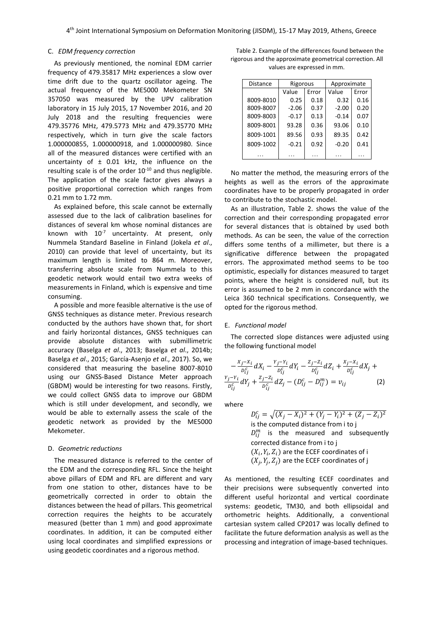#### C. *EDM frequency correction*

As previously mentioned, the nominal EDM carrier frequency of 479.35817 MHz experiences a slow over time drift due to the quartz oscillator ageing. The actual frequency of the ME5000 Mekometer SN 357050 was measured by the UPV calibration laboratory in 15 July 2015, 17 November 2016, and 20 July 2018 and the resulting frequencies were 479.35776 MHz, 479.5773 MHz and 479.35770 MHz respectively, which in turn give the scale factors 1.000000855, 1.000000918, and 1.000000980. Since all of the measured distances were certified with an uncertainty of  $\pm$  0.01 kHz, the influence on the resulting scale is of the order  $10^{-10}$  and thus negligible. The application of the scale factor gives always a positive proportional correction which ranges from 0.21 mm to 1.72 mm.

As explained before, this scale cannot be externally assessed due to the lack of calibration baselines for distances of several km whose nominal distances are known with  $10^{-7}$  uncertainty. At present, only Nummela Standard Baseline in Finland (Jokela *et al*., 2010) can provide that level of uncertainty, but its maximum length is limited to 864 m. Moreover, transferring absolute scale from Nummela to this geodetic network would entail two extra weeks of measurements in Finland, which is expensive and time consuming.

A possible and more feasible alternative is the use of GNSS techniques as distance meter. Previous research conducted by the authors have shown that, for short and fairly horizontal distances, GNSS techniques can provide absolute distances with submillimetric accuracy (Baselga *et al*., 2013; Baselga *et al*., 2014b; Baselga *et al*., 2015; García-Asenjo *et al*., 2017). So, we considered that measuring the baseline 8007-8010 using our GNSS-Based Distance Meter approach (GBDM) would be interesting for two reasons. Firstly, we could collect GNSS data to improve our GBDM which is still under development, and secondly, we would be able to externally assess the scale of the geodetic network as provided by the ME5000 Mekometer.

## D. *Geometric reductions*

The measured distance is referred to the center of the EDM and the corresponding RFL. Since the height above pillars of EDM and RFL are different and vary from one station to other, distances have to be geometrically corrected in order to obtain the distances between the head of pillars. This geometrical correction requires the heights to be accurately measured (better than 1 mm) and good approximate coordinates. In addition, it can be computed either using local coordinates and simplified expressions or using geodetic coordinates and a rigorous method.

Table 2. Example of the differences found between the rigorous and the approximate geometrical correction. All values are expressed in mm.

| <b>Distance</b> | Rigorous |       | Approximate |       |
|-----------------|----------|-------|-------------|-------|
|                 | Value    | Error | Value       | Error |
| 8009-8010       | 0.25     | 0.18  | 0.32        | 0.16  |
| 8009-8007       | $-2.06$  | 0.37  | $-2.00$     | 0.20  |
| 8009-8003       | $-0.17$  | 0.13  | $-0.14$     | 0.07  |
| 8009-8001       | 93.28    | 0.36  | 93.06       | 0.10  |
| 8009-1001       | 89.56    | 0.93  | 89.35       | 0.42  |
| 8009-1002       | $-0.21$  | 0.92  | $-0.20$     | 0.41  |
|                 |          |       |             | .     |

No matter the method, the measuring errors of the heights as well as the errors of the approximate coordinates have to be properly propagated in order to contribute to the stochastic model.

As an illustration, Table 2. shows the value of the correction and their corresponding propagated error for several distances that is obtained by used both methods. As can be seen, the value of the correction differs some tenths of a millimeter, but there is a significative difference between the propagated errors. The approximated method seems to be too optimistic, especially for distances measured to target points, where the height is considered null, but its error is assumed to be 2 mm in concordance with the Leica 360 technical specifications. Consequently, we opted for the rigorous method.

#### E. *Functional model*

The corrected slope distances were adjusted using the following functional model

$$
-\frac{x_j - x_i}{D_{ij}^c} dX_i - \frac{y_j - y_i}{D_{ij}^c} dY_i - \frac{z_j - z_i}{D_{ij}^c} dZ_i + \frac{x_j - x_i}{D_{ij}^c} dX_j + \frac{y_j - y_i}{D_{ij}^c} dY_j + \frac{z_j - z_i}{D_{ij}^c} dZ_j - (D_{ij}^c - D_{ij}^m) = v_{ij}
$$
(2)

where

 $D_{ij}^c = \sqrt{(X_j - X_i)^2 + (Y_j - Y_i)^2 + (Z_j - Z_i)^2}$ is the computed distance from i to j  $D_{ij}^m$  is the measured and subsequently corrected distance from i to j  $(X_i, Y_i, Z_i)$  are the ECEF coordinates of i  $(X_j, Y_j, Z_j)$  are the ECEF coordinates of j

As mentioned, the resulting ECEF coordinates and their precisions were subsequently converted into different useful horizontal and vertical coordinate systems: geodetic, TM30, and both ellipsoidal and orthometric heights. Additionally, a conventional cartesian system called CP2017 was locally defined to facilitate the future deformation analysis as well as the processing and integration of image-based techniques.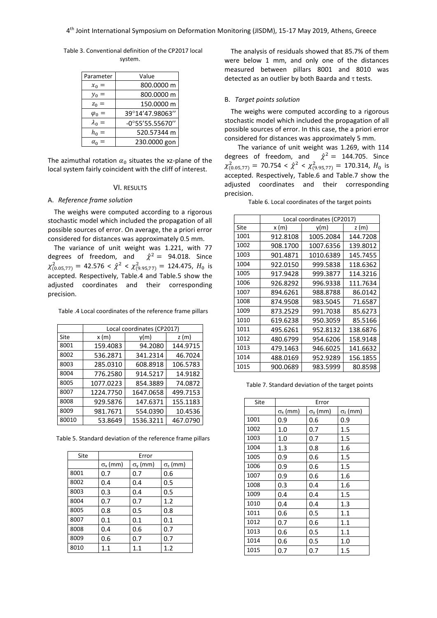Table 3. Conventional definition of the CP2017 local system.

| Parameter     | Value              |
|---------------|--------------------|
| $x_0 =$       | 800.0000 m         |
| $y_0 =$       | 800.0000 m         |
| $z_0 =$       | 150.0000 m         |
| $\varphi_0 =$ | 39°14'47.98063"    |
| $\lambda_0 =$ | $-0°55'55.55670''$ |
| $h_0 =$       | 520.57344 m        |
| $\alpha_0 =$  | 230.0000 gon       |

The azimuthal rotation  $\alpha_0$  situates the xz-plane of the local system fairly coincident with the cliff of interest.

# VI. RESULTS

#### A. *Reference frame solution*

The weighs were computed according to a rigorous stochastic model which included the propagation of all possible sources of error. On average, the a priori error considered for distances was approximately 0.5 mm.

The variance of unit weight was 1.221, with 77 degrees of freedom, and  $\hat{\chi}^2 = 94.018$ . Since  $\chi^2_{(0.05,77)} = 42.576 < \hat{\chi}^2 < \chi^2_{(9.95,77)} = 124.475$ ,  $H_0$  is accepted. Respectively, Table.4 and Table.5 show the adjusted coordinates and their corresponding precision.

Table .4 Local coordinates of the reference frame pillars

|       | Local coordinates (CP2017) |           |          |
|-------|----------------------------|-----------|----------|
| Site  | x(m)                       | y(m)      | z(m)     |
| 8001  | 159.4083                   | 94.2080   | 144.9715 |
| 8002  | 536.2871                   | 341.2314  | 46.7024  |
| 8003  | 285.0310                   | 608.8918  | 106.5783 |
| 8004  | 776.2580                   | 914.5217  | 14.9182  |
| 8005  | 1077.0223                  | 854.3889  | 74.0872  |
| 8007  | 1224.7750                  | 1647.0658 | 499.7153 |
| 8008  | 929.5876                   | 147.6371  | 155.1183 |
| 8009  | 981.7671                   | 554.0390  | 10.4536  |
| 80010 | 53.8649                    | 1536.3211 | 467.0790 |

Table 5. Standard deviation of the reference frame pillars

| Site | Error             |                   |                            |
|------|-------------------|-------------------|----------------------------|
|      | $\sigma_{x}$ (mm) | $\sigma_{v}$ (mm) | $\sigma$ <sub>z</sub> (mm) |
| 8001 | 0.7               | 0.7               | 0.6                        |
| 8002 | 0.4               | 0.4               | 0.5                        |
| 8003 | 0.3               | 0.4               | 0.5                        |
| 8004 | 0.7               | 0.7               | 1.2                        |
| 8005 | 0.8               | 0.5               | 0.8                        |
| 8007 | 0.1               | 0.1               | 0.1                        |
| 8008 | 0.4               | 0.6               | 0.7                        |
| 8009 | 0.6               | 0.7               | 0.7                        |
| 8010 | 1.1               | 1.1               | 1.2                        |

The analysis of residuals showed that 85.7% of them were below 1 mm, and only one of the distances measured between pillars 8001 and 8010 was detected as an outlier by both Baarda and  $\tau$  tests.

#### B. *Target points solution*

The weighs were computed according to a rigorous stochastic model which included the propagation of all possible sources of error. In this case, the a priori error considered for distances was approximately 5 mm.

 The variance of unit weight was 1.269, with 114 degrees of freedom, and  $\hat{\chi}^2 = 144.705$ . Since  $\chi^2_{(0.05,77)}$  = 70.754 <  $\hat{\chi}^2$  <  $\chi^2_{(9.95,77)}$  = 170.314,  $H_0$  is accepted. Respectively, Table.6 and Table.7 show the adjusted coordinates and their corresponding precision.

Table 6. Local coordinates of the target points

|      | Local coordinates (CP2017) |           |          |
|------|----------------------------|-----------|----------|
| Site | x (m)                      | v(m)      | z (m)    |
| 1001 | 912.8108                   | 1005.2084 | 144.7208 |
| 1002 | 908.1700                   | 1007.6356 | 139.8012 |
| 1003 | 901.4871                   | 1010.6389 | 145.7455 |
| 1004 | 922.0150                   | 999.5838  | 118.6362 |
| 1005 | 917.9428                   | 999.3877  | 114.3216 |
| 1006 | 926.8292                   | 996.9338  | 111.7634 |
| 1007 | 894.6261                   | 988.8788  | 86.0142  |
| 1008 | 874.9508                   | 983.5045  | 71.6587  |
| 1009 | 873.2529                   | 991.7038  | 85.6273  |
| 1010 | 619.6238                   | 950.3059  | 85.5166  |
| 1011 | 495.6261                   | 952.8132  | 138.6876 |
| 1012 | 480.6799                   | 954.6206  | 158.9148 |
| 1013 | 479.1463                   | 946.6025  | 141.6632 |
| 1014 | 488.0169                   | 952.9289  | 156.1855 |
| 1015 | 900.0689                   | 983.5999  | 80.8598  |

Table 7. Standard deviation of the target points

| Site | Error             |                   |                 |
|------|-------------------|-------------------|-----------------|
|      | $\sigma_{x}$ (mm) | $\sigma_{y}$ (mm) | $\sigma$ , (mm) |
| 1001 | 0.9               | 0.6               | 0.9             |
| 1002 | 1.0               | 0.7               | 1.5             |
| 1003 | 1.0               | 0.7               | 1.5             |
| 1004 | 1.3               | 0.8               | 1.6             |
| 1005 | 0.9               | 0.6               | 1.5             |
| 1006 | 0.9               | 0.6               | 1.5             |
| 1007 | 0.9               | 0.6               | 1.6             |
| 1008 | 0.3               | 0.4               | 1.6             |
| 1009 | 0.4               | 0.4               | 1.5             |
| 1010 | 0.4               | 0.4               | 1.3             |
| 1011 | 0.6               | 0.5               | 1.1             |
| 1012 | 0.7               | 0.6               | 1.1             |
| 1013 | 0.6               | 0.5               | 1.1             |
| 1014 | 0.6               | 0.5               | 1.0             |
| 1015 | 0.7               | 0.7               | 1.5             |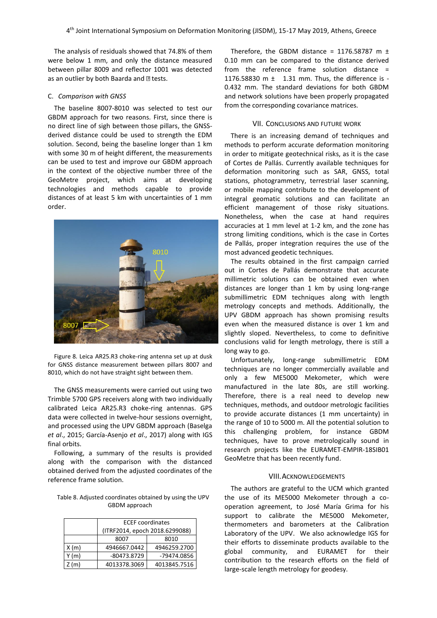The analysis of residuals showed that 74.8% of them were below 1 mm, and only the distance measured between pillar 8009 and reflector 1001 was detected as an outlier by both Baarda and  $\mathbb D$  tests.

#### C. *Comparison with GNSS*

The baseline 8007-8010 was selected to test our GBDM approach for two reasons. First, since there is no direct line of sigh between those pillars, the GNSSderived distance could be used to strength the EDM solution. Second, being the baseline longer than 1 km with some 30 m of height different, the measurements can be used to test and improve our GBDM approach in the context of the objective number three of the GeoMetre project, which aims at developing technologies and methods capable to provide distances of at least 5 km with uncertainties of 1 mm order.



Figure 8*.* Leica AR25.R3 choke-ring antenna set up at dusk for GNSS distance measurement between pillars 8007 and 8010, which do not have straight sight between them.

The GNSS measurements were carried out using two Trimble 5700 GPS receivers along with two individually calibrated Leica AR25.R3 choke-ring antennas. GPS data were collected in twelve-hour sessions overnight, and processed using the UPV GBDM approach (Baselga *et al*., 2015; García-Asenjo *et al*., 2017) along with IGS final orbits.

Following, a summary of the results is provided along with the comparison with the distanced obtained derived from the adjusted coordinates of the reference frame solution.

Table 8. Adjusted coordinates obtained by using the UPV GBDM approach

|       | <b>ECEF</b> coordinates        |              |  |
|-------|--------------------------------|--------------|--|
|       | (ITRF2014, epoch 2018.6299088) |              |  |
|       | 8007<br>8010                   |              |  |
| X(m)  | 4946667.0442                   | 4946259.2700 |  |
| Y (m) | -80473.8729                    | -79474.0856  |  |
| Z(m)  | 4013378.3069<br>4013845.7516   |              |  |
|       |                                |              |  |

Therefore, the GBDM distance = 1176.58787 m  $\pm$ 0.10 mm can be compared to the distance derived from the reference frame solution distance = 1176.58830 m ± 1.31 mm. Thus, the difference is - 0.432 mm. The standard deviations for both GBDM and network solutions have been properly propagated from the corresponding covariance matrices.

# VII. CONCLUSIONS AND FUTURE WORK

There is an increasing demand of techniques and methods to perform accurate deformation monitoring in order to mitigate geotechnical risks, as it is the case of Cortes de Pallás. Currently available techniques for deformation monitoring such as SAR, GNSS, total stations, photogrammetry, terrestrial laser scanning, or mobile mapping contribute to the development of integral geomatic solutions and can facilitate an efficient management of those risky situations. Nonetheless, when the case at hand requires accuracies at 1 mm level at 1-2 km, and the zone has strong limiting conditions, which is the case in Cortes de Pallás, proper integration requires the use of the most advanced geodetic techniques.

The results obtained in the first campaign carried out in Cortes de Pallás demonstrate that accurate millimetric solutions can be obtained even when distances are longer than 1 km by using long-range submillimetric EDM techniques along with length metrology concepts and methods. Additionally, the UPV GBDM approach has shown promising results even when the measured distance is over 1 km and slightly sloped. Nevertheless, to come to definitive conclusions valid for length metrology, there is still a long way to go.

Unfortunately, long-range submillimetric EDM techniques are no longer commercially available and only a few ME5000 Mekometer, which were manufactured in the late 80s, are still working. Therefore, there is a real need to develop new techniques, methods, and outdoor metrologic facilities to provide accurate distances (1 mm uncertainty) in the range of 10 to 5000 m. All the potential solution to this challenging problem, for instance GBDM techniques, have to prove metrologically sound in research projects like the EURAMET-EMPIR-18SIB01 GeoMetre that has been recently fund.

#### VIII.ACKNOWLEDGEMENTS

The authors are grateful to the UCM which granted the use of its ME5000 Mekometer through a cooperation agreement, to José María Grima for his support to calibrate the ME5000 Mekometer, thermometers and barometers at the Calibration Laboratory of the UPV. We also acknowledge IGS for their efforts to disseminate products available to the global community, and EURAMET for their contribution to the research efforts on the field of large-scale length metrology for geodesy.